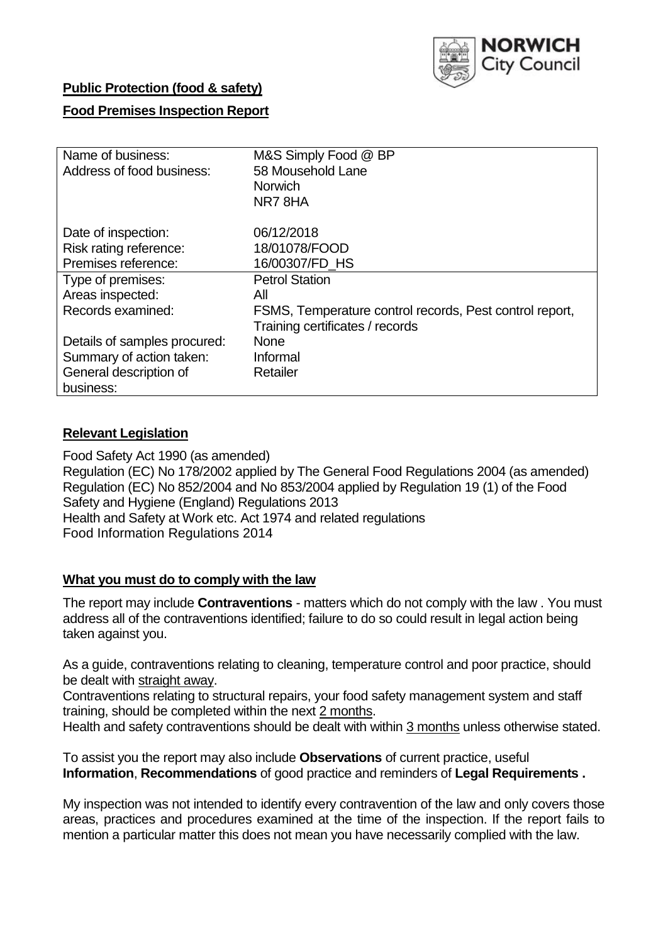

### **Public Protection (food & safety)**

### **Food Premises Inspection Report**

| Name of business:            | M&S Simply Food @ BP                                    |
|------------------------------|---------------------------------------------------------|
| Address of food business:    | 58 Mousehold Lane                                       |
|                              | <b>Norwich</b>                                          |
|                              | NR78HA                                                  |
| Date of inspection:          | 06/12/2018                                              |
| Risk rating reference:       | 18/01078/FOOD                                           |
| Premises reference:          | 16/00307/FD HS                                          |
| Type of premises:            | <b>Petrol Station</b>                                   |
| Areas inspected:             | All                                                     |
| Records examined:            | FSMS, Temperature control records, Pest control report, |
|                              | Training certificates / records                         |
| Details of samples procured: | <b>None</b>                                             |
| Summary of action taken:     | Informal                                                |
| General description of       | Retailer                                                |
| business:                    |                                                         |

### **Relevant Legislation**

Food Safety Act 1990 (as amended) Regulation (EC) No 178/2002 applied by The General Food Regulations 2004 (as amended) Regulation (EC) No 852/2004 and No 853/2004 applied by Regulation 19 (1) of the Food Safety and Hygiene (England) Regulations 2013 Health and Safety at Work etc. Act 1974 and related regulations Food Information Regulations 2014

#### **What you must do to comply with the law**

The report may include **Contraventions** - matters which do not comply with the law . You must address all of the contraventions identified; failure to do so could result in legal action being taken against you.

As a guide, contraventions relating to cleaning, temperature control and poor practice, should be dealt with straight away.

Contraventions relating to structural repairs, your food safety management system and staff training, should be completed within the next 2 months.

Health and safety contraventions should be dealt with within 3 months unless otherwise stated.

To assist you the report may also include **Observations** of current practice, useful **Information**, **Recommendations** of good practice and reminders of **Legal Requirements .**

My inspection was not intended to identify every contravention of the law and only covers those areas, practices and procedures examined at the time of the inspection. If the report fails to mention a particular matter this does not mean you have necessarily complied with the law.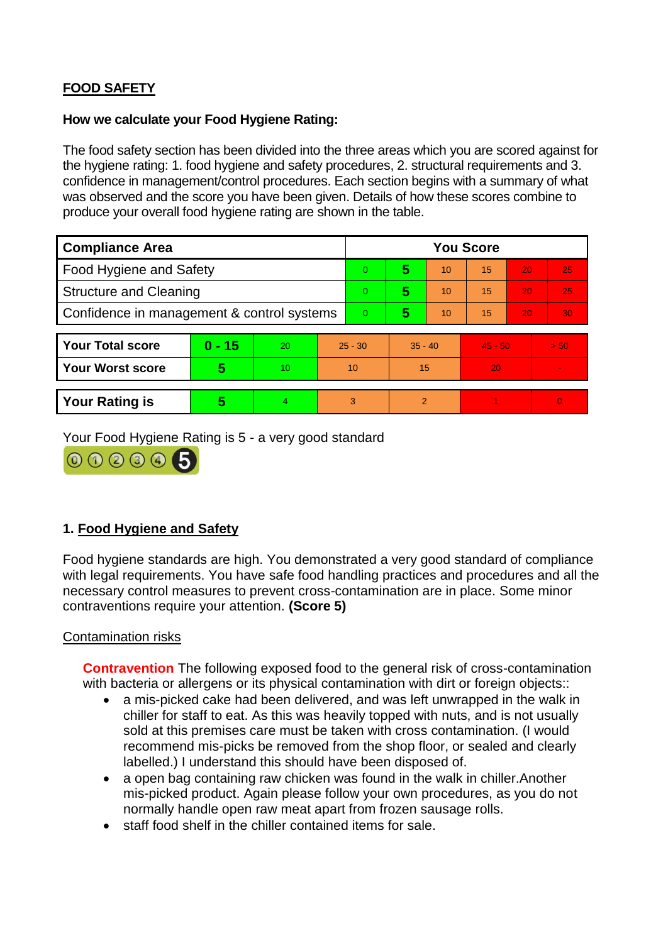# **FOOD SAFETY**

### **How we calculate your Food Hygiene Rating:**

The food safety section has been divided into the three areas which you are scored against for the hygiene rating: 1. food hygiene and safety procedures, 2. structural requirements and 3. confidence in management/control procedures. Each section begins with a summary of what was observed and the score you have been given. Details of how these scores combine to produce your overall food hygiene rating are shown in the table.

| <b>Compliance Area</b>                     |          |    |          | <b>You Score</b> |                |    |           |    |          |  |  |
|--------------------------------------------|----------|----|----------|------------------|----------------|----|-----------|----|----------|--|--|
| Food Hygiene and Safety                    |          |    |          | $\Omega$         | 5              | 10 | 15        | 20 | 25       |  |  |
| <b>Structure and Cleaning</b>              |          |    | $\Omega$ | 5                | 10             | 15 | 20        | 25 |          |  |  |
| Confidence in management & control systems |          |    | $\Omega$ | 5                | 10             | 15 | 20        | 30 |          |  |  |
|                                            |          |    |          |                  |                |    |           |    |          |  |  |
| <b>Your Total score</b>                    | $0 - 15$ | 20 |          | $25 - 30$        | $35 - 40$      |    | $45 - 50$ |    | > 50     |  |  |
| <b>Your Worst score</b>                    | 5        | 10 |          | 10               | 15             |    | 20        |    |          |  |  |
|                                            |          |    |          |                  |                |    |           |    |          |  |  |
| <b>Your Rating is</b>                      | 5        |    | 3        |                  | $\overline{2}$ |    |           |    | $\Omega$ |  |  |

Your Food Hygiene Rating is 5 - a very good standard



## **1. Food Hygiene and Safety**

Food hygiene standards are high. You demonstrated a very good standard of compliance with legal requirements. You have safe food handling practices and procedures and all the necessary control measures to prevent cross-contamination are in place. Some minor contraventions require your attention. **(Score 5)**

### Contamination risks

**Contravention** The following exposed food to the general risk of cross-contamination with bacteria or allergens or its physical contamination with dirt or foreign objects::

- a mis-picked cake had been delivered, and was left unwrapped in the walk in chiller for staff to eat. As this was heavily topped with nuts, and is not usually sold at this premises care must be taken with cross contamination. (I would recommend mis-picks be removed from the shop floor, or sealed and clearly labelled.) I understand this should have been disposed of.
- a open bag containing raw chicken was found in the walk in chiller. Another mis-picked product. Again please follow your own procedures, as you do not normally handle open raw meat apart from frozen sausage rolls.
- staff food shelf in the chiller contained items for sale.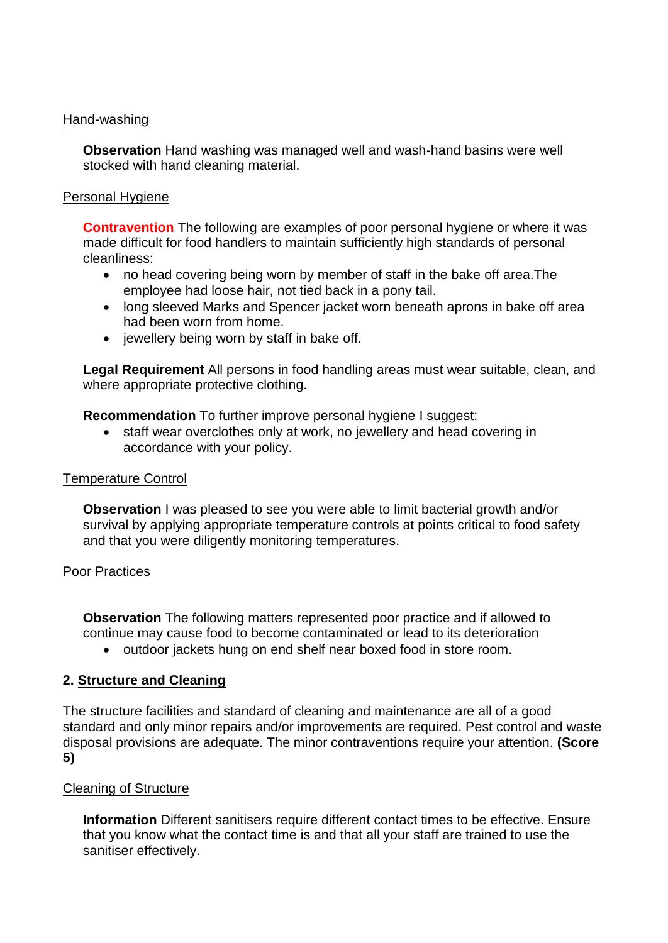### Hand-washing

**Observation** Hand washing was managed well and wash-hand basins were well stocked with hand cleaning material.

### Personal Hygiene

**Contravention** The following are examples of poor personal hygiene or where it was made difficult for food handlers to maintain sufficiently high standards of personal cleanliness:

- no head covering being worn by member of staff in the bake off area. The employee had loose hair, not tied back in a pony tail.
- long sleeved Marks and Spencer jacket worn beneath aprons in bake off area had been worn from home.
- $\bullet$  iewellery being worn by staff in bake off.

**Legal Requirement** All persons in food handling areas must wear suitable, clean, and where appropriate protective clothing.

**Recommendation** To further improve personal hygiene I suggest:

• staff wear overclothes only at work, no jewellery and head covering in accordance with your policy.

### Temperature Control

**Observation** I was pleased to see you were able to limit bacterial growth and/or survival by applying appropriate temperature controls at points critical to food safety and that you were diligently monitoring temperatures.

### Poor Practices

**Observation** The following matters represented poor practice and if allowed to continue may cause food to become contaminated or lead to its deterioration

outdoor jackets hung on end shelf near boxed food in store room.

## **2. Structure and Cleaning**

The structure facilities and standard of cleaning and maintenance are all of a good standard and only minor repairs and/or improvements are required. Pest control and waste disposal provisions are adequate. The minor contraventions require your attention. **(Score 5)**

### Cleaning of Structure

**Information** Different sanitisers require different contact times to be effective. Ensure that you know what the contact time is and that all your staff are trained to use the sanitiser effectively.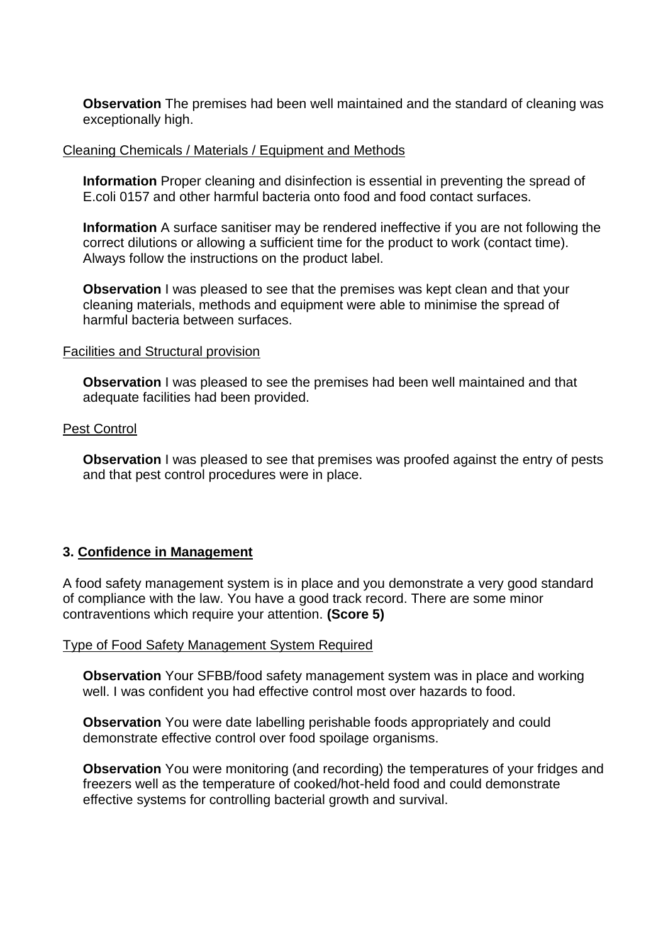**Observation** The premises had been well maintained and the standard of cleaning was exceptionally high.

#### Cleaning Chemicals / Materials / Equipment and Methods

**Information** Proper cleaning and disinfection is essential in preventing the spread of E.coli 0157 and other harmful bacteria onto food and food contact surfaces.

**Information** A surface sanitiser may be rendered ineffective if you are not following the correct dilutions or allowing a sufficient time for the product to work (contact time). Always follow the instructions on the product label.

**Observation** I was pleased to see that the premises was kept clean and that your cleaning materials, methods and equipment were able to minimise the spread of harmful bacteria between surfaces.

#### Facilities and Structural provision

**Observation I** was pleased to see the premises had been well maintained and that adequate facilities had been provided.

#### Pest Control

**Observation** I was pleased to see that premises was proofed against the entry of pests and that pest control procedures were in place.

### **3. Confidence in Management**

A food safety management system is in place and you demonstrate a very good standard of compliance with the law. You have a good track record. There are some minor contraventions which require your attention. **(Score 5)**

#### Type of Food Safety Management System Required

**Observation** Your SFBB/food safety management system was in place and working well. I was confident you had effective control most over hazards to food.

**Observation** You were date labelling perishable foods appropriately and could demonstrate effective control over food spoilage organisms.

**Observation** You were monitoring (and recording) the temperatures of your fridges and freezers well as the temperature of cooked/hot-held food and could demonstrate effective systems for controlling bacterial growth and survival.